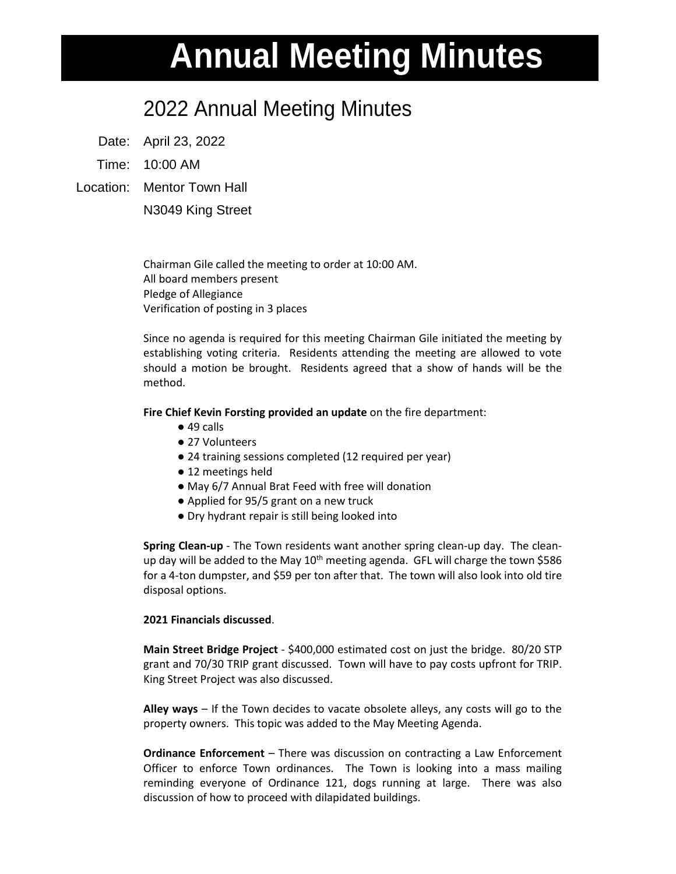## **Annual Meeting Minutes**

## 2022 Annual Meeting Minutes

Date: April 23, 2022

Time: 10:00 AM

Location: Mentor Town Hall

N3049 King Street

Chairman Gile called the meeting to order at 10:00 AM. All board members present Pledge of Allegiance Verification of posting in 3 places

Since no agenda is required for this meeting Chairman Gile initiated the meeting by establishing voting criteria. Residents attending the meeting are allowed to vote should a motion be brought. Residents agreed that a show of hands will be the method.

**Fire Chief Kevin Forsting provided an update** on the fire department:

- $\bullet$  49 calls
- 27 Volunteers
- 24 training sessions completed (12 required per year)
- 12 meetings held
- May 6/7 Annual Brat Feed with free will donation
- Applied for 95/5 grant on a new truck
- Dry hydrant repair is still being looked into

**Spring Clean-up** - The Town residents want another spring clean-up day. The cleanup day will be added to the May  $10<sup>th</sup>$  meeting agenda. GFL will charge the town \$586 for a 4-ton dumpster, and \$59 per ton after that. The town will also look into old tire disposal options.

## **2021 Financials discussed**.

**Main Street Bridge Project** - \$400,000 estimated cost on just the bridge. 80/20 STP grant and 70/30 TRIP grant discussed. Town will have to pay costs upfront for TRIP. King Street Project was also discussed.

**Alley ways** – If the Town decides to vacate obsolete alleys, any costs will go to the property owners. This topic was added to the May Meeting Agenda.

**Ordinance Enforcement** – There was discussion on contracting a Law Enforcement Officer to enforce Town ordinances. The Town is looking into a mass mailing reminding everyone of Ordinance 121, dogs running at large. There was also discussion of how to proceed with dilapidated buildings.